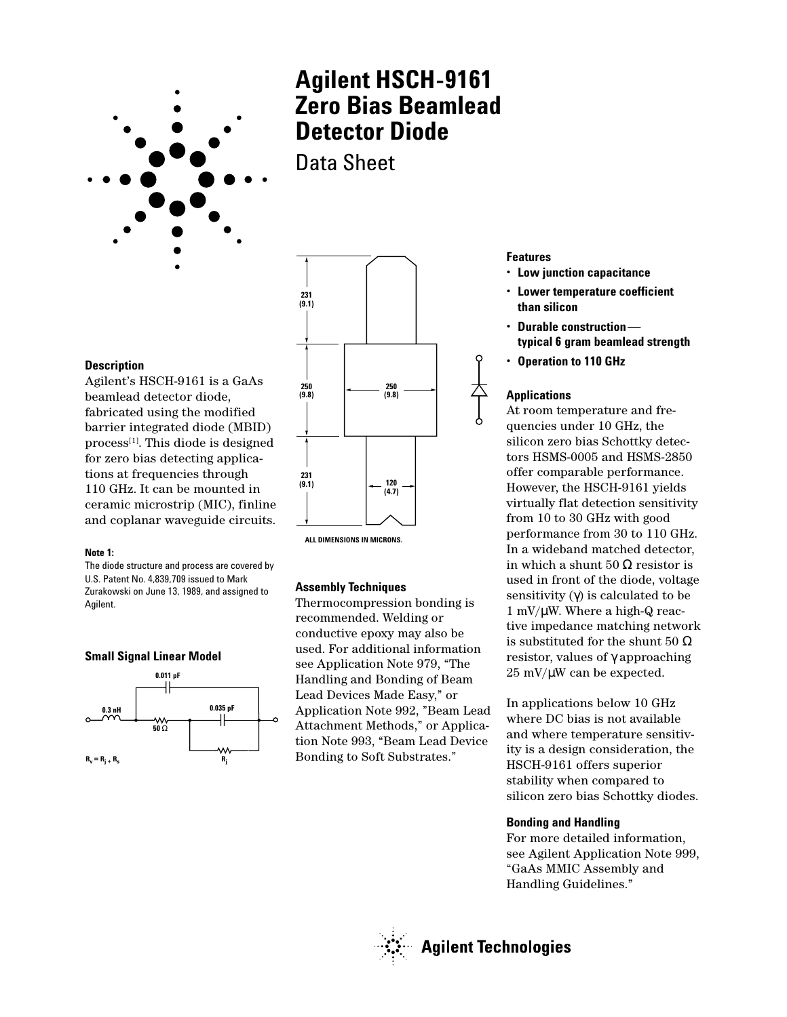

# **Agilent HSCH-9161 Zero Bias Beamlead Detector Diode**

Data Sheet

### **Description**

Agilent's HSCH-9161 is a GaAs beamlead detector diode, fabricated using the modified barrier integrated diode (MBID)  $process<sup>[1]</sup>$ . This diode is designed for zero bias detecting applications at frequencies through 110 GHz. It can be mounted in ceramic microstrip (MIC), finline and coplanar waveguide circuits.

#### **Note 1:**

The diode structure and process are covered by U.S. Patent No. 4,839,709 issued to Mark Zurakowski on June 13, 1989, and assigned to Agilent.





**ALL DIMENSIONS IN MICRONS.**

#### **Assembly Techniques**

Thermocompression bonding is recommended. Welding or conductive epoxy may also be used. For additional information see Application Note 979, "The Handling and Bonding of Beam Lead Devices Made Easy," or Application Note 992, "Beam Lead Attachment Methods," or Application Note 993, "Beam Lead Device Bonding to Soft Substrates."

#### **Features**

- **Low junction capacitance**
- **Lower temperature coefficient than silicon**
- **Durable construction typical 6 gram beamlead strength**
- **Operation to 110 GHz**

## **Applications**

At room temperature and frequencies under 10 GHz, the silicon zero bias Schottky detectors HSMS-0005 and HSMS-2850 offer comparable performance. However, the HSCH-9161 yields virtually flat detection sensitivity from 10 to 30 GHz with good performance from 30 to 110 GHz. In a wideband matched detector, in which a shunt  $50 \Omega$  resistor is used in front of the diode, voltage sensitivity  $(\gamma)$  is calculated to be  $1 \text{ mV}/\mu \text{W}$ . Where a high-Q reactive impedance matching network is substituted for the shunt  $50~\Omega$ resistor, values of γ approaching  $25 \text{ mV}/\mu\text{W}$  can be expected.

In applications below 10 GHz where DC bias is not available and where temperature sensitivity is a design consideration, the HSCH-9161 offers superior stability when compared to silicon zero bias Schottky diodes.

#### **Bonding and Handling**

For more detailed information, see Agilent Application Note 999, "GaAs MMIC Assembly and Handling Guidelines."